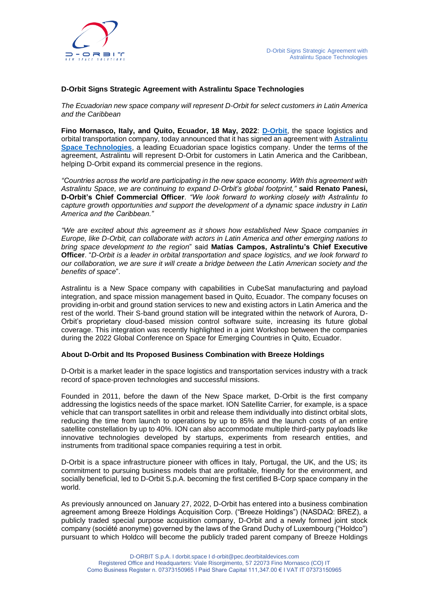

## **D-Orbit Signs Strategic Agreement with Astralintu Space Technologies**

*The Ecuadorian new space company will represent D-Orbit for select customers in Latin America and the Caribbean*

**Fino Mornasco, Italy, and Quito, Ecuador, 18 May, 2022**: **[D-Orbit](http://www.dorbit.space/)**, the space logistics and orbital transportation company, today announced that it has signed an agreement with **[Astralintu](https://www.astralintu.com/)  [Space Technologies](https://www.astralintu.com/)**, a leading Ecuadorian space logistics company. Under the terms of the agreement, Astralintu will represent D-Orbit for customers in Latin America and the Caribbean, helping D-Orbit expand its commercial presence in the regions.

*"Countries across the world are participating in the new space economy. With this agreement with Astralintu Space, we are continuing to expand D-Orbit's global footprint,"* **said Renato Panesi, D-Orbit's Chief Commercial Officer***. "We look forward to working closely with Astralintu to capture growth opportunities and support the development of a dynamic space industry in Latin America and the Caribbean."*

*"We are excited about this agreement as it shows how established New Space companies in Europe, like D-Orbit, can collaborate with actors in Latin America and other emerging nations to bring space development to the region*" said **Matías Campos, Astralintu's Chief Executive Officer**. "*D-Orbit is a leader in orbital transportation and space logistics, and we look forward to our collaboration, we are sure it will create a bridge between the Latin American society and the benefits of space*".

Astralintu is a New Space company with capabilities in CubeSat manufacturing and payload integration, and space mission management based in Quito, Ecuador. The company focuses on providing in-orbit and ground station services to new and existing actors in Latin America and the rest of the world. Their S-band ground station will be integrated within the network of Aurora, D-Orbit's proprietary cloud-based mission control software suite, increasing its future global coverage. This integration was recently highlighted in a joint Workshop between the companies during the 2022 Global Conference on Space for Emerging Countries in Quito, Ecuador.

#### **About D-Orbit and Its Proposed Business Combination with Breeze Holdings**

D-Orbit is a market leader in the space logistics and transportation services industry with a track record of space-proven technologies and successful missions.

Founded in 2011, before the dawn of the New Space market, D-Orbit is the first company addressing the logistics needs of the space market. ION Satellite Carrier, for example, is a space vehicle that can transport satellites in orbit and release them individually into distinct orbital slots, reducing the time from launch to operations by up to 85% and the launch costs of an entire satellite constellation by up to 40%. ION can also accommodate multiple third-party payloads like innovative technologies developed by startups, experiments from research entities, and instruments from traditional space companies requiring a test in orbit.

D-Orbit is a space infrastructure pioneer with offices in Italy, Portugal, the UK, and the US; its commitment to pursuing business models that are profitable, friendly for the environment, and socially beneficial, led to D-Orbit S.p.A. becoming the first certified B-Corp space company in the world.

As previously announced on January 27, 2022, D-Orbit has entered into a business combination agreement among Breeze Holdings Acquisition Corp. ("Breeze Holdings") (NASDAQ: BREZ), a publicly traded special purpose acquisition company, D-Orbit and a newly formed joint stock company (société anonyme) governed by the laws of the Grand Duchy of Luxembourg ("Holdco") pursuant to which Holdco will become the publicly traded parent company of Breeze Holdings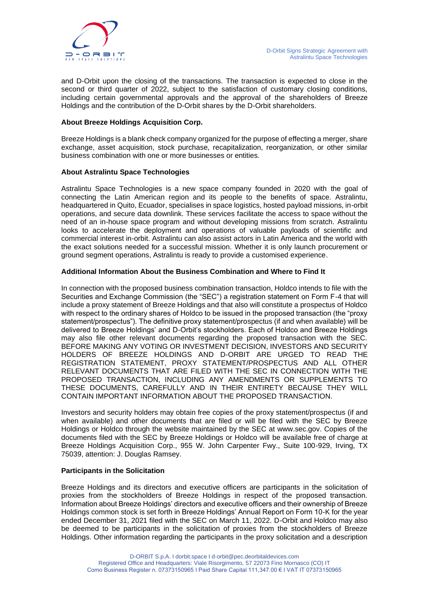

and D-Orbit upon the closing of the transactions. The transaction is expected to close in the second or third quarter of 2022, subject to the satisfaction of customary closing conditions, including certain governmental approvals and the approval of the shareholders of Breeze Holdings and the contribution of the D-Orbit shares by the D-Orbit shareholders.

# **About Breeze Holdings Acquisition Corp.**

Breeze Holdings is a blank check company organized for the purpose of effecting a merger, share exchange, asset acquisition, stock purchase, recapitalization, reorganization, or other similar business combination with one or more businesses or entities.

### **About Astralintu Space Technologies**

Astralintu Space Technologies is a new space company founded in 2020 with the goal of connecting the Latin American region and its people to the benefits of space. Astralintu, headquartered in Quito, Ecuador, specialises in space logistics, hosted payload missions, in-orbit operations, and secure data downlink. These services facilitate the access to space without the need of an in-house space program and without developing missions from scratch. Astralintu looks to accelerate the deployment and operations of valuable payloads of scientific and commercial interest in-orbit. Astralintu can also assist actors in Latin America and the world with the exact solutions needed for a successful mission. Whether it is only launch procurement or ground segment operations, Astralintu is ready to provide a customised experience.

## **Additional Information About the Business Combination and Where to Find It**

In connection with the proposed business combination transaction, Holdco intends to file with the Securities and Exchange Commission (the "SEC") a registration statement on Form F-4 that will include a proxy statement of Breeze Holdings and that also will constitute a prospectus of Holdco with respect to the ordinary shares of Holdco to be issued in the proposed transaction (the "proxy statement/prospectus"). The definitive proxy statement/prospectus (if and when available) will be delivered to Breeze Holdings' and D-Orbit's stockholders. Each of Holdco and Breeze Holdings may also file other relevant documents regarding the proposed transaction with the SEC. BEFORE MAKING ANY VOTING OR INVESTMENT DECISION, INVESTORS AND SECURITY HOLDERS OF BREEZE HOLDINGS AND D-ORBIT ARE URGED TO READ THE REGISTRATION STATEMENT, PROXY STATEMENT/PROSPECTUS AND ALL OTHER RELEVANT DOCUMENTS THAT ARE FILED WITH THE SEC IN CONNECTION WITH THE PROPOSED TRANSACTION, INCLUDING ANY AMENDMENTS OR SUPPLEMENTS TO THESE DOCUMENTS, CAREFULLY AND IN THEIR ENTIRETY BECAUSE THEY WILL CONTAIN IMPORTANT INFORMATION ABOUT THE PROPOSED TRANSACTION.

Investors and security holders may obtain free copies of the proxy statement/prospectus (if and when available) and other documents that are filed or will be filed with the SEC by Breeze Holdings or Holdco through the website maintained by the SEC at www.sec.gov. Copies of the documents filed with the SEC by Breeze Holdings or Holdco will be available free of charge at Breeze Holdings Acquisition Corp., 955 W. John Carpenter Fwy., Suite 100-929, Irving, TX 75039, attention: J. Douglas Ramsey.

# **Participants in the Solicitation**

Breeze Holdings and its directors and executive officers are participants in the solicitation of proxies from the stockholders of Breeze Holdings in respect of the proposed transaction. Information about Breeze Holdings' directors and executive officers and their ownership of Breeze Holdings common stock is set forth in Breeze Holdings' Annual Report on Form 10-K for the year ended December 31, 2021 filed with the SEC on March 11, 2022. D-Orbit and Holdco may also be deemed to be participants in the solicitation of proxies from the stockholders of Breeze Holdings. Other information regarding the participants in the proxy solicitation and a description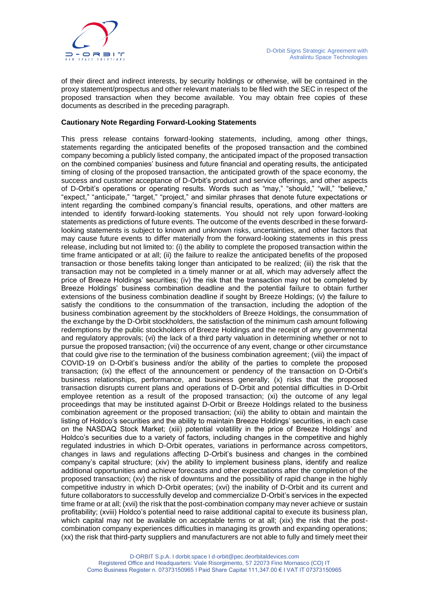

of their direct and indirect interests, by security holdings or otherwise, will be contained in the proxy statement/prospectus and other relevant materials to be filed with the SEC in respect of the proposed transaction when they become available. You may obtain free copies of these documents as described in the preceding paragraph.

# **Cautionary Note Regarding Forward-Looking Statements**

This press release contains forward-looking statements, including, among other things, statements regarding the anticipated benefits of the proposed transaction and the combined company becoming a publicly listed company, the anticipated impact of the proposed transaction on the combined companies' business and future financial and operating results, the anticipated timing of closing of the proposed transaction, the anticipated growth of the space economy, the success and customer acceptance of D-Orbit's product and service offerings, and other aspects of D-Orbit's operations or operating results. Words such as "may," "should," "will," "believe," "expect," "anticipate," "target," "project," and similar phrases that denote future expectations or intent regarding the combined company's financial results, operations, and other matters are intended to identify forward-looking statements. You should not rely upon forward-looking statements as predictions of future events. The outcome of the events described in these forwardlooking statements is subject to known and unknown risks, uncertainties, and other factors that may cause future events to differ materially from the forward-looking statements in this press release, including but not limited to: (i) the ability to complete the proposed transaction within the time frame anticipated or at all; (ii) the failure to realize the anticipated benefits of the proposed transaction or those benefits taking longer than anticipated to be realized; (iii) the risk that the transaction may not be completed in a timely manner or at all, which may adversely affect the price of Breeze Holdings' securities; (iv) the risk that the transaction may not be completed by Breeze Holdings' business combination deadline and the potential failure to obtain further extensions of the business combination deadline if sought by Breeze Holdings; (v) the failure to satisfy the conditions to the consummation of the transaction, including the adoption of the business combination agreement by the stockholders of Breeze Holdings, the consummation of the exchange by the D-Orbit stockholders, the satisfaction of the minimum cash amount following redemptions by the public stockholders of Breeze Holdings and the receipt of any governmental and regulatory approvals; (vi) the lack of a third party valuation in determining whether or not to pursue the proposed transaction; (vii) the occurrence of any event, change or other circumstance that could give rise to the termination of the business combination agreement; (viii) the impact of COVID-19 on D-Orbit's business and/or the ability of the parties to complete the proposed transaction; (ix) the effect of the announcement or pendency of the transaction on D-Orbit's business relationships, performance, and business generally; (x) risks that the proposed transaction disrupts current plans and operations of D-Orbit and potential difficulties in D-Orbit employee retention as a result of the proposed transaction; (xi) the outcome of any legal proceedings that may be instituted against D-Orbit or Breeze Holdings related to the business combination agreement or the proposed transaction; (xii) the ability to obtain and maintain the listing of Holdco's securities and the ability to maintain Breeze Holdings' securities, in each case on the NASDAQ Stock Market; (xiii) potential volatility in the price of Breeze Holdings' and Holdco's securities due to a variety of factors, including changes in the competitive and highly regulated industries in which D-Orbit operates, variations in performance across competitors, changes in laws and regulations affecting D-Orbit's business and changes in the combined company's capital structure; (xiv) the ability to implement business plans, identify and realize additional opportunities and achieve forecasts and other expectations after the completion of the proposed transaction; (xv) the risk of downturns and the possibility of rapid change in the highly competitive industry in which D-Orbit operates; (xvi) the inability of D-Orbit and its current and future collaborators to successfully develop and commercialize D-Orbit's services in the expected time frame or at all; (xvii) the risk that the post-combination company may never achieve or sustain profitability; (xviii) Holdco's potential need to raise additional capital to execute its business plan, which capital may not be available on acceptable terms or at all; (xix) the risk that the postcombination company experiences difficulties in managing its growth and expanding operations; (xx) the risk that third-party suppliers and manufacturers are not able to fully and timely meet their